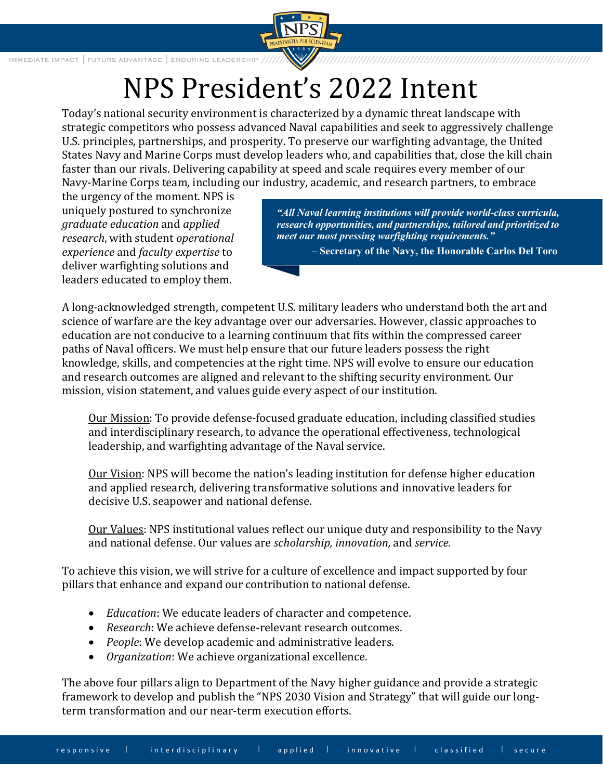

IMMEDIATE IMPACT | FUTURE ADVANTAGE | ENDURING LEADERSHIP

## NPS President's 2022 Intent

Today's national security environment is characterized by a dynamic threat landscape with strategic competitors who possess advanced Naval capabilities and seek to aggressively challenge U.S. principles, partnerships, and prosperity. To preserve our warfighting advantage, the United States Navy and Marine Corps must develop leaders who, and capabilities that, close the kill chain faster than our rivals. Delivering capability at speed and scale requires every member of our Navy-Marine Corps team, including our industry, academic, and research partners, to embrace

the urgency of the moment. NPS is uniquely postured to synchronize *graduate education* and *applied research*, with student *operational experience* and *faculty expertise* to deliver warfighting solutions and leaders educated to employ them.

*"All Naval learning institutions will provide world-class curricula, research opportunities, and partnerships, tailored and prioritized to meet our most pressing warfighting requirements."* 

**– Secretary of the Navy, the Honorable Carlos Del Toro**

A long-acknowledged strength, competent U.S. military leaders who understand both the art and science of warfare are the key advantage over our adversaries. However, classic approaches to education are not conducive to a learning continuum that fits within the compressed career paths of Naval officers. We must help ensure that our future leaders possess the right knowledge, skills, and competencies at the right time. NPS will evolve to ensure our education and research outcomes are aligned and relevant to the shifting security environment. Our mission, vision statement, and values guide every aspect of our institution.

Our Mission: To provide defense-focused graduate education, including classified studies and interdisciplinary research, to advance the operational effectiveness, technological leadership, and warfighting advantage of the Naval service.

Our Vision: NPS will become the nation's leading institution for defense higher education and applied research, delivering transformative solutions and innovative leaders for decisive U.S. seapower and national defense.

Our Values: NPS institutional values reflect our unique duty and responsibility to the Navy and national defense. Our values are *scholarship, innovation,* and *service.*

To achieve this vision, we will strive for a culture of excellence and impact supported by four pillars that enhance and expand our contribution to national defense.

- *Education*: We educate leaders of character and competence.
- *Research*: We achieve defense-relevant research outcomes.
- *People*: We develop academic and administrative leaders.
- *Organization*: We achieve organizational excellence.

The above four pillars align to Department of the Navy higher guidance and provide a strategic framework to develop and publish the "NPS 2030 Vision and Strategy" that will guide our longterm transformation and our near-term execution efforts.